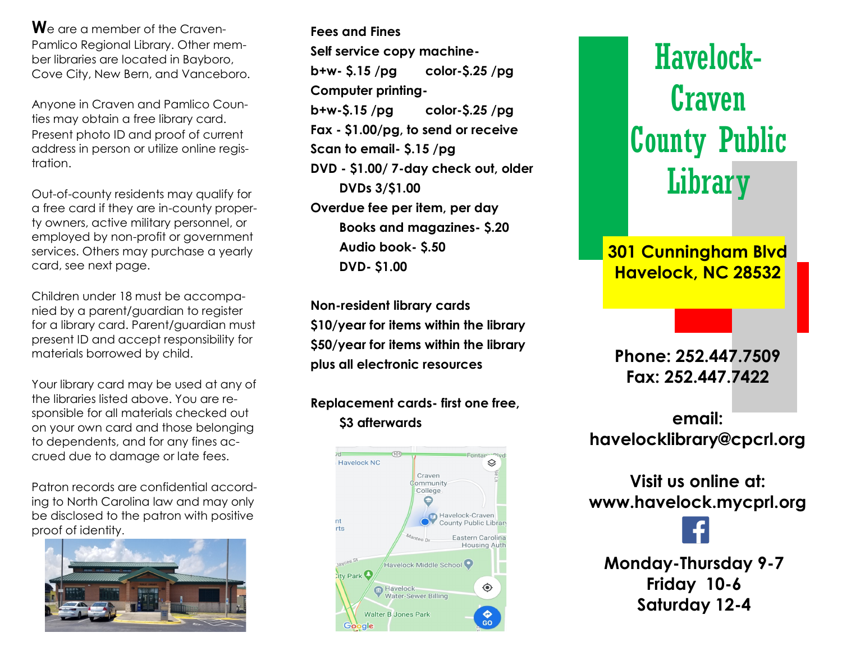**W**e are a member of the Craven-Pamlico Regional Library. Other member libraries are located in Bayboro, Cove City, New Bern, and Vanceboro.

Anyone in Craven and Pamlico Counties may obtain a free library card. Present photo ID and proof of current address in person or utilize online registration.

Out-of-county residents may qualify for a free card if they are in-county property owners, active military personnel, or employed by non-profit or government services. Others may purchase a yearly card, see next page.

Children under 18 must be accompanied by a parent/guardian to register for a library card. Parent/guardian must present ID and accept responsibility for materials borrowed by child.

Your library card may be used at any of the libraries listed above. You are responsible for all materials checked out on your own card and those belonging to dependents, and for any fines accrued due to damage or late fees.

Patron records are confidential according to North Carolina law and may only be disclosed to the patron with positive proof of identity.



**Fees and Fines Self service copy machineb+w- \$.15 /pg color-\$.25 /pg Computer printingb+w-\$.15 /pg color-\$.25 /pg Fax - \$1.00/pg, to send or receive Scan to email- \$.15 /pg DVD - \$1.00/ 7-day check out, older DVDs 3/\$1.00 Overdue fee per item, per day Books and magazines- \$.20 Audio book- \$.50 DVD- \$1.00**

**Non-resident library cards \$10/year for items within the library \$50/year for items within the library plus all electronic resources**

#### **Replacement cards- first one free, \$3 afterwards**



# Havelock-Craven County Public **Library**

**301 Cunningham Blvd Havelock, NC 28532**

**Phone: 252.447.7509 Fax: 252.447.7422** 

**email: havelocklibrary@cpcrl.org**

**Visit us online at: www.havelock.mycprl.org**